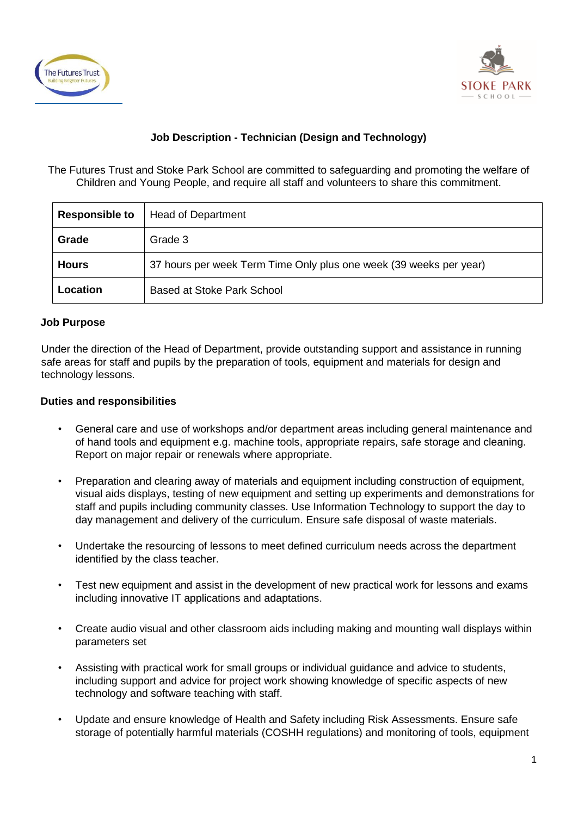



# **Job Description - Technician (Design and Technology)**

The Futures Trust and Stoke Park School are committed to safeguarding and promoting the welfare of Children and Young People, and require all staff and volunteers to share this commitment.

| <b>Responsible to</b> | <b>Head of Department</b>                                          |
|-----------------------|--------------------------------------------------------------------|
| Grade                 | Grade 3                                                            |
| <b>Hours</b>          | 37 hours per week Term Time Only plus one week (39 weeks per year) |
| Location              | <b>Based at Stoke Park School</b>                                  |

#### **Job Purpose**

Under the direction of the Head of Department, provide outstanding support and assistance in running safe areas for staff and pupils by the preparation of tools, equipment and materials for design and technology lessons.

#### **Duties and responsibilities**

- General care and use of workshops and/or department areas including general maintenance and of hand tools and equipment e.g. machine tools, appropriate repairs, safe storage and cleaning. Report on major repair or renewals where appropriate.
- Preparation and clearing away of materials and equipment including construction of equipment, visual aids displays, testing of new equipment and setting up experiments and demonstrations for staff and pupils including community classes. Use Information Technology to support the day to day management and delivery of the curriculum. Ensure safe disposal of waste materials.
- Undertake the resourcing of lessons to meet defined curriculum needs across the department identified by the class teacher.
- Test new equipment and assist in the development of new practical work for lessons and exams including innovative IT applications and adaptations.
- Create audio visual and other classroom aids including making and mounting wall displays within parameters set
- Assisting with practical work for small groups or individual guidance and advice to students, including support and advice for project work showing knowledge of specific aspects of new technology and software teaching with staff.
- Update and ensure knowledge of Health and Safety including Risk Assessments. Ensure safe storage of potentially harmful materials (COSHH regulations) and monitoring of tools, equipment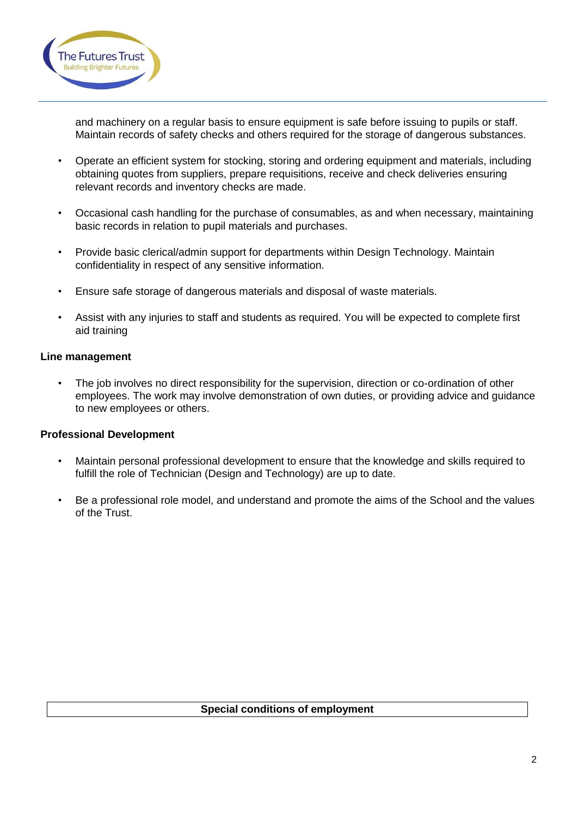

and machinery on a regular basis to ensure equipment is safe before issuing to pupils or staff. Maintain records of safety checks and others required for the storage of dangerous substances.

- Operate an efficient system for stocking, storing and ordering equipment and materials, including obtaining quotes from suppliers, prepare requisitions, receive and check deliveries ensuring relevant records and inventory checks are made.
- Occasional cash handling for the purchase of consumables, as and when necessary, maintaining basic records in relation to pupil materials and purchases.
- Provide basic clerical/admin support for departments within Design Technology. Maintain confidentiality in respect of any sensitive information.
- Ensure safe storage of dangerous materials and disposal of waste materials.
- Assist with any injuries to staff and students as required. You will be expected to complete first aid training

### **Line management**

The job involves no direct responsibility for the supervision, direction or co-ordination of other employees. The work may involve demonstration of own duties, or providing advice and guidance to new employees or others.

### **Professional Development**

- Maintain personal professional development to ensure that the knowledge and skills required to fulfill the role of Technician (Design and Technology) are up to date.
- Be a professional role model, and understand and promote the aims of the School and the values of the Trust.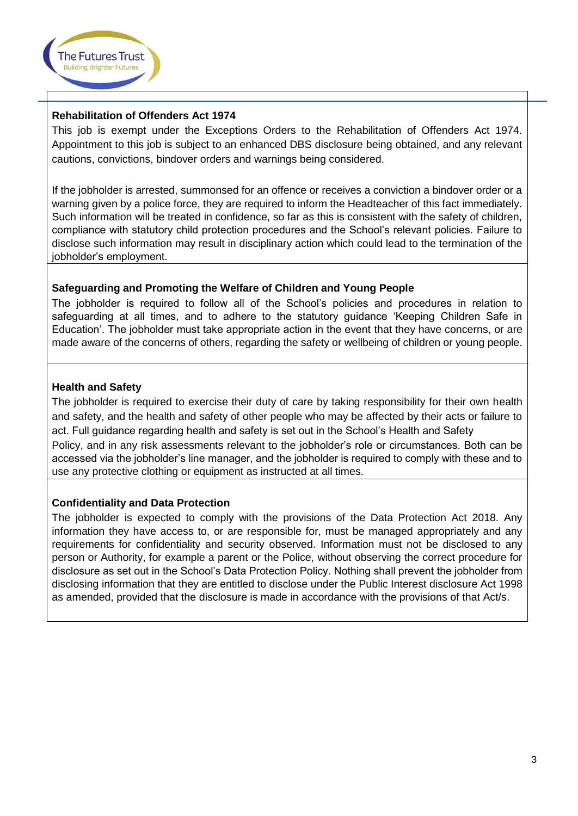

### **Rehabilitation of Offenders Act 1974**

This job is exempt under the Exceptions Orders to the Rehabilitation of Offenders Act 1974. Appointment to this job is subject to an enhanced DBS disclosure being obtained, and any relevant cautions, convictions, bindover orders and warnings being considered.

If the jobholder is arrested, summonsed for an offence or receives a conviction a bindover order or a warning given by a police force, they are required to inform the Headteacher of this fact immediately. Such information will be treated in confidence, so far as this is consistent with the safety of children, compliance with statutory child protection procedures and the School's relevant policies. Failure to disclose such information may result in disciplinary action which could lead to the termination of the jobholder's employment.

### **Safeguarding and Promoting the Welfare of Children and Young People**

The jobholder is required to follow all of the School's policies and procedures in relation to safeguarding at all times, and to adhere to the statutory guidance 'Keeping Children Safe in Education'. The jobholder must take appropriate action in the event that they have concerns, or are made aware of the concerns of others, regarding the safety or wellbeing of children or young people.

## **Health and Safety**

The jobholder is required to exercise their duty of care by taking responsibility for their own health and safety, and the health and safety of other people who may be affected by their acts or failure to act. Full guidance regarding health and safety is set out in the School's Health and Safety Policy, and in any risk assessments relevant to the jobholder's role or circumstances. Both can be accessed via the jobholder's line manager, and the jobholder is required to comply with these and to use any protective clothing or equipment as instructed at all times.

## **Confidentiality and Data Protection**

The jobholder is expected to comply with the provisions of the Data Protection Act 2018. Any information they have access to, or are responsible for, must be managed appropriately and any requirements for confidentiality and security observed. Information must not be disclosed to any person or Authority, for example a parent or the Police, without observing the correct procedure for disclosure as set out in the School's Data Protection Policy. Nothing shall prevent the jobholder from disclosing information that they are entitled to disclose under the Public Interest disclosure Act 1998 as amended, provided that the disclosure is made in accordance with the provisions of that Act/s.